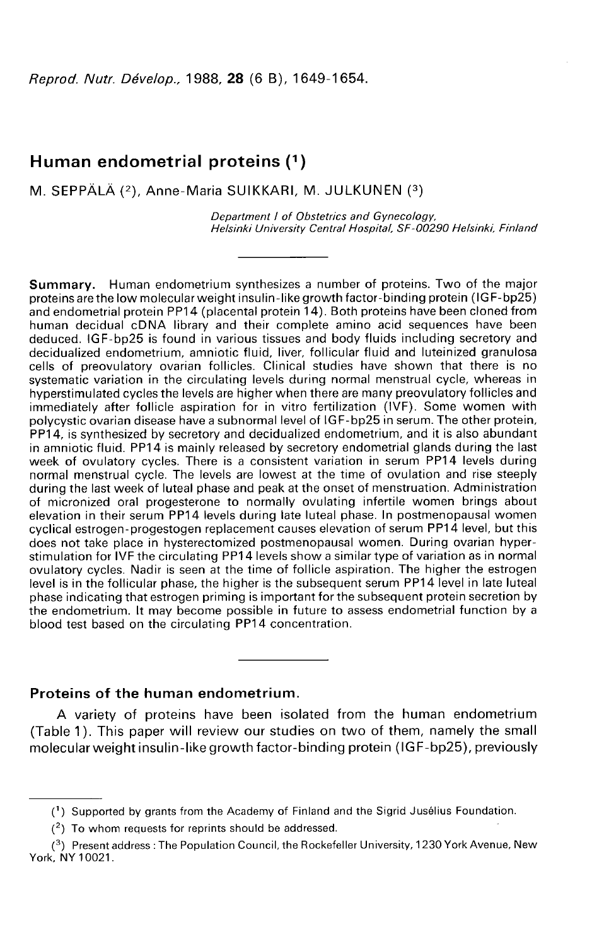Reprod. Nutr. Dévelop., 1988, 28 (6 B), 1649-1654.

# Human endometrial proteins (1)

M. SEPPÄLÄ (2), Anne-Maria SUIKKARI, M. JULKUNEN (3)

Department / of Obstetrics and Gynecology, Helsinki University Central Hospital, SF-00290 Helsinki, Finland

Summary. Human endometrium synthesizes a number of proteins. Two of the major proteins are the low molecular weight insulin-like growth factor-binding protein (IGF-bp25) and endometrial protein PP14 (placental protein 14). Both proteins have been cloned from human decidual cDNA library and their complete amino acid sequences have been deduced. IGF-bp25 is found in various tissues and body fluids including secretory and decidualized endometrium, amniotic fluid, liver, follicular fluid and luteinized granulosa cells of preovulatory ovarian follicles. Clinical studies have shown that there is no systematic variation in the circulating levels during normal menstrual cycle, whereas in hyperstimulated cycles the levels are higher when there are many preovulatory follicles and immediately after follicle aspiration for in vitro fertilization (IVF). Some women with polycystic ovarian disease have a subnormal level of IGF-bp25 in serum. The other protein, PP14, is synthesized by secretory and decidualized endometrium, and it is also abundant in amniotic fluid. PP14 is mainly released by secretory endometrial glands during the last week of ovulatory cycles. There is a consistent variation in serum PP14 levels during normal menstrual cycle. The levels are lowest at the time of ovulation and rise steeply during the last week of luteal phase and peak at the onset of menstruation. Administration of micronized oral progesterone to normally ovulating infertile women brings about elevation in their serum PP14 levels during late luteal phase. In postmenopausal women cyclical estrogen-progestogen replacement causes elevation of serum PP14 level, but this does not take place in hysterectomized postmenopausal women. During ovarian hyperstimulation for IVF the circulating PP14 levels show a similar type of variation as in normal ovulatory cycles. Nadir is seen at the time of follicle aspiration. The higher the estrogen level is in the follicular phase, the higher is the subsequent serum PP14 level in late luteal phase indicating that estrogen priming is important for the subsequent protein secretion by the endometrium. It may become possible in future to assess endometrial function by a blood test based on the circulating PP14 concentration.

### Proteins of the human endometrium.

A variety of proteins have been isolated from the human endometrium (Table 1). This paper will review our studies on two of them, namely the small molecular weight insulin-like growth factor-binding protein (IGF-bp25), previously

 $(2)$  To whom requests for reprints should be addressed.

<sup>(1)</sup> Supported by grants from the Academy of Finland and the Sigrid Jusélius Foundation.

<sup>(3)</sup> Present address: The Population Council, the Rockefeller University, 1230 York Avenue, New York, NY 10021.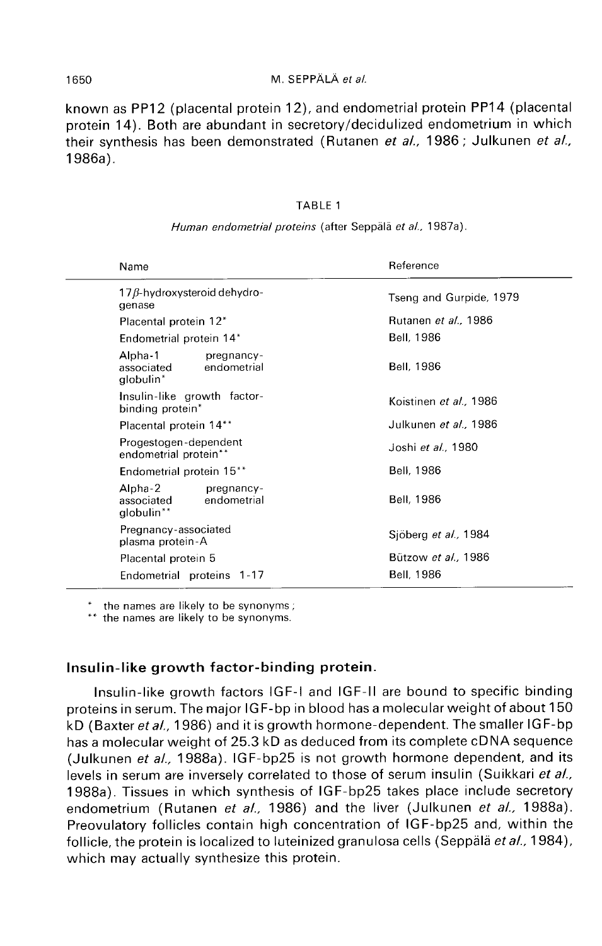### M. SEPPÄLÄ et al.

known as PP12 (placental protein 12), and endometrial protein PP14 (placental protein 14). Both are abundant in secretory/decidulized endometrium in which their synthesis has been demonstrated (Rutanen et al., 1986; Julkunen et al., 1986a).

### TABLE 1

| Name                                                             | Reference                     |
|------------------------------------------------------------------|-------------------------------|
| $17\beta$ -hydroxysteroid dehydro-<br>genase                     | Tseng and Gurpide, 1979       |
| Placental protein 12*                                            | Rutanen et al., 1986          |
| Endometrial protein 14*                                          | Bell, 1986                    |
| Alpha-1<br>pregnancy-<br>associated<br>endometrial<br>globulin*  | Bell, 1986                    |
| Insulin-like growth factor-<br>binding protein*                  | Koistinen et al., 1986        |
| Placental protein 14**                                           | Julkunen <i>et al.</i> , 1986 |
| Progestogen-dependent<br>endometrial protein**                   | Joshi et al., 1980            |
| Endometrial protein 15 <sup>**</sup>                             | Bell, 1986                    |
| Alpha-2<br>pregnancy-<br>endometrial<br>associated<br>globulin** | Bell, 1986                    |
| Pregnancy-associated<br>plasma protein-A                         | Sjöberg et al., 1984          |
| Placental protein 5                                              | Bützow et al., 1986           |
| Endometrial proteins 1-17                                        | Bell, 1986                    |
|                                                                  |                               |

#### Human endometrial proteins (after Seppälä et al., 1987a).

the names are likely to be synonyms;

\*\* the names are likely to be synonyms.

## Insulin-like growth factor-binding protein.

Insulin-like growth factors IGF-I and IGF-11 are bound to specific binding proteins in serum. The major IGF-bp in blood has a molecular weight of about 150 kD (Baxter et al., 1986) and it is growth hormone-dependent. The smaller IGF-bp has a molecular weight of 25.3 kD as deduced from its complete cDNA sequence (Julkunen et al., 1988a). IGF-bp25 is not growth hormone dependent, and its levels in serum are inversely correlated to those of serum insulin (Suikkari et al., 1988a). Tissues in which synthesis of IGF-bp25 takes place include secretory endometrium (Rutanen et al., 1986) and the liver (Julkunen et al., 1988a). Preovulatory follicles contain high concentration of IGF-bp25 and, within the follicle, the protein is localized to luteinized granulosa cells (Seppälä et  $aL$ , 1984), which may actually synthesize this protein.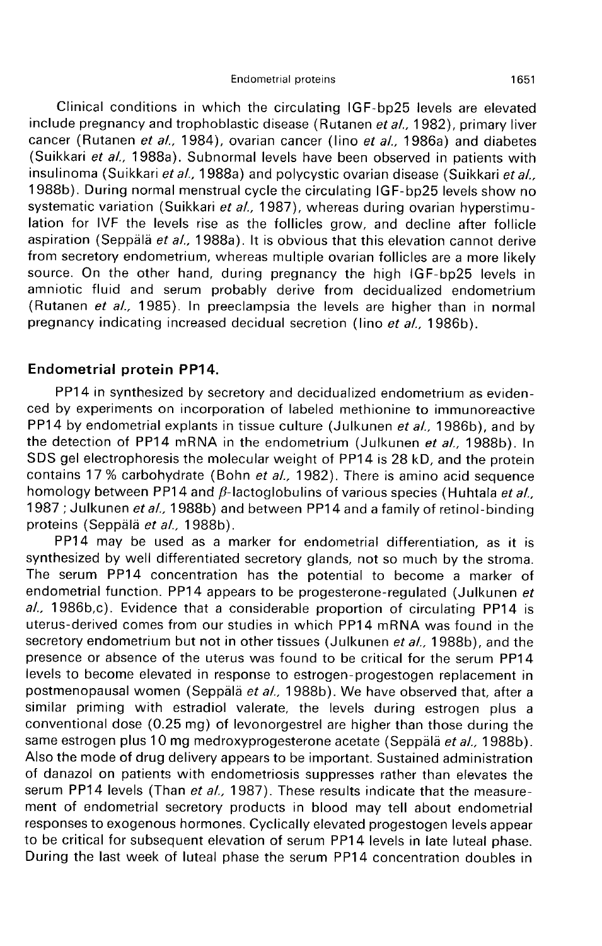Clinical conditions in which the circulating IGF-bp25 levels are elevated include pregnancy and trophoblastic disease (Rutanen et al., 1982), primary liver cancer (Rutanen et al., 1984), ovarian cancer (lino et al., 1986a) and diabetes (Suikkari et al., 1988a). Subnormal levels have been observed in patients with insulinoma (Suikkari et al., 1988a) and polycystic ovarian disease (Suikkari et al., 1988b). During normal menstrual cycle the circulating IGF-bp25 levels show no systematic variation (Suikkari et al., 1987), whereas during ovarian hyperstimulation for IVF the levels rise as the follicles grow, and decline after follicle aspiration (Seppälä et al., 1988a). It is obvious that this elevation cannot derive<br>from secretory endometrium, whereas multiple ovarian follicles are a more likely source. On the other hand, during pregnancy the high IGF-bp25 levels in amniotic fluid and serum probably derive from decidualized endometrium (Rutanen et al., 1985). In preeclampsia the levels are higher than in normal pregnancy indicating increased decidual secretion (lino et al., 1986b).

### Endometrial protein PP14.

PP14 in synthesized by secretory and decidualized endometrium as evidenced by experiments on incorporation of labeled methionine to immunoreactive PP14 by endometrial explants in tissue culture (Julkunen et al., 1986b), and by the detection of PP14 mRNA in the endometrium (Julkunen et al., 1988b). In SDS gel electrophoresis the molecular weight of PP14 is 28 kD, and the protein contains 17 % carbohydrate (Bohn et al., 1982). There is amino acid sequence homology between PP14 and  $\beta$ -lactoglobulins of various species (Huhtala et al., 1987 ; Julkunen et al., 1988b) and between PP14 and a family of retinol-binding proteins (Seppälä et al., 1988b).

PP14 may be used as a marker for endometrial differentiation, as it is synthesized by well differentiated secretory glands, not so much by the stroma. The serum PP14 concentration has the potential to become a marker of endometrial function. PP14 appears to be progesterone-regulated (Julkunen et al., 1986b,c). Evidence that a considerable proportion of circulating PP14 is uterus-derived comes from our studies in which PP14 mRNA was found in the secretory endometrium but not in other tissues (Julkunen et al., 1988b), and the presence or absence of the uterus was found to be critical for the serum PP14 levels to become elevated in response to estrogen-progestogen replacement in postmenopausal women (Seppälä et al., 1988b). We have observed that, after a similar priming with estradiol valerate, the levels during estrogen plus a conventional dose (0.25 mg) of levonorgestrel are higher than those during the same estrogen plus 10 mg medroxyprogesterone acetate (Seppälä et al., 1988b). Also the mode of drug delivery appears to be important. Sustained administration of danazol on patients with endometriosis suppresses rather than elevates the serum PP14 levels (Than et al., 1987). These results indicate that the measurement of endometrial secretory products in blood may tell about endometrial responses to exogenous hormones. Cyclically elevated progestogen levels appear to be critical for subsequent elevation of serum PP14 levels in late luteal phase. During the last week of luteal phase the serum PP14 concentration doubles in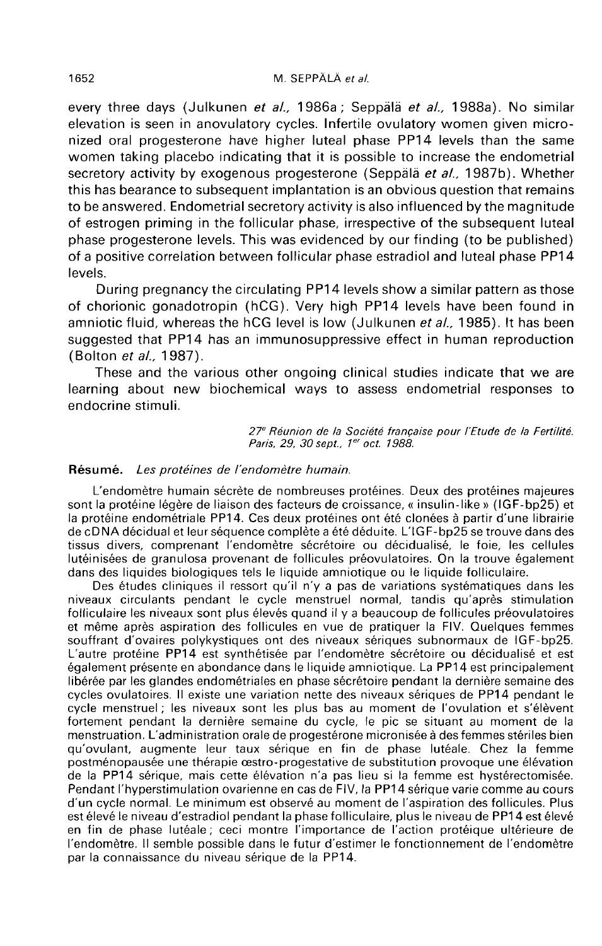every three days (Julkunen et al., 1986a; Seppälä et al., 1988a). No similar elevation is seen in anovulatory cycles. Infertile ovulatory women given micronized oral progesterone have higher luteal phase PP14 levels than the same women taking placebo indicating that it is possible to increase the endometrial secretory activity by exogenous progesterone (Seppala et al., 1987b). Whether this has bearance to subsequent implantation is an obvious question that remains to be answered. Endometrial secretory activity is also influenced by the magnitude of estrogen priming in the follicular phase, irrespective of the subsequent luteal phase progesterone levels. This was evidenced by our finding (to be published) of a positive correlation between follicular phase estradiol and luteal phase PP14 levels.

During pregnancy the circulating PP14 levels show a similar pattern as those of chorionic gonadotropin (hCG). Very high PP14 levels have been found in amniotic fluid, whereas the hCG level is low (Julkunen et al., 1985). It has been suggested that PP14 has an immunosuppressive effect in human reproduction (Bolton et al., 1987).

These and the various other ongoing clinical studies indicate that we are learning about new biochemical ways to assess endometrial responses to endocrine stimuli.

> 27<sup>e</sup> Réunion de la Société française pour l'Etude de la Fertilité. Paris, 29, 30 sept., 1er oct. 1988.

### Résumé. Les protéines de l'endomètre humain.

L'endomètre humain sécrète de nombreuses protéines. Deux des protéines majeures sont la protéine légère de liaison des facteurs de croissance, « insulin-like » (IGF-bp25) et la protéine endométriale PP14. Ces deux protéines ont été clonées à partir d'une librairie de cDNA décidual et leur séquence complète a été déduite. L'IGF-bp25 se trouve dans des tissus divers, comprenant l'endomètre sécrétoire ou décidualisé, le foie, les cellules lutéinisées de granulosa provenant de follicules préovulatoires. On la trouve également dans des liquides biologiques tels le liquide amniotique ou le liquide folliculaire.

Des études cliniques il ressort qu'il n'y a pas de variations systématiques dans les niveaux circulants pendant le cycle menstruel normal, tandis qu'après stimulation folliculaire les niveaux sont plus élevés quand il y a beaucoup de follicules préovulatoires et même après aspiration des follicules en vue de pratiquer la FIV. Quelques femmes souffrant d'ovaires polykystiques ont des niveaux sériques subnormaux de IGF-bp25. L'autre protéine PP14 est synthétisée par l'endomètre sécrétoire ou décidualisé et est également présente en abondance dans le liquide amniotique. La PP14 est principalement libérée par les glandes endométriales en phase sécrétoire pendant la dernière semaine des cycles ovulatoires. Il existe une variation nette des niveaux sériques de PP14 pendant le cycle menstruel ; les niveaux sont les plus bas au moment de l'ovulation et s'élèvent fortement pendant la dernière semaine du cycle, le pic se situant au moment de la menstruation. L'administration orale de progestérone micronisée à des femmes stériles bien qu'ovulant, augmente leur taux sérique en fin de phase lutéale. Chez la femme postménopausée une thérapie oestro-progestative de substitution provoque une élévation de la PP14 sérique, mais cette élévation n'a pas lieu si la femme est hystérectomisée. Pendant l'hyperstimulation ovarienne en cas de FIV, la PP14 sérique varie comme au cours d'un cycle normal. Le minimum est observé au moment de l'aspiration des follicules. Plus est élevé le niveau d'estradiol pendant la phase folliculaire, plus le niveau de PP14 est élevé en fin de phase lutéale ; ceci montre l'importance de l'action protéique ultérieure de l'endomètre. Il semble possible dans le futur d'estimer le fonctionnement de l'endomètre par la connaissance du niveau sérique de la PP14.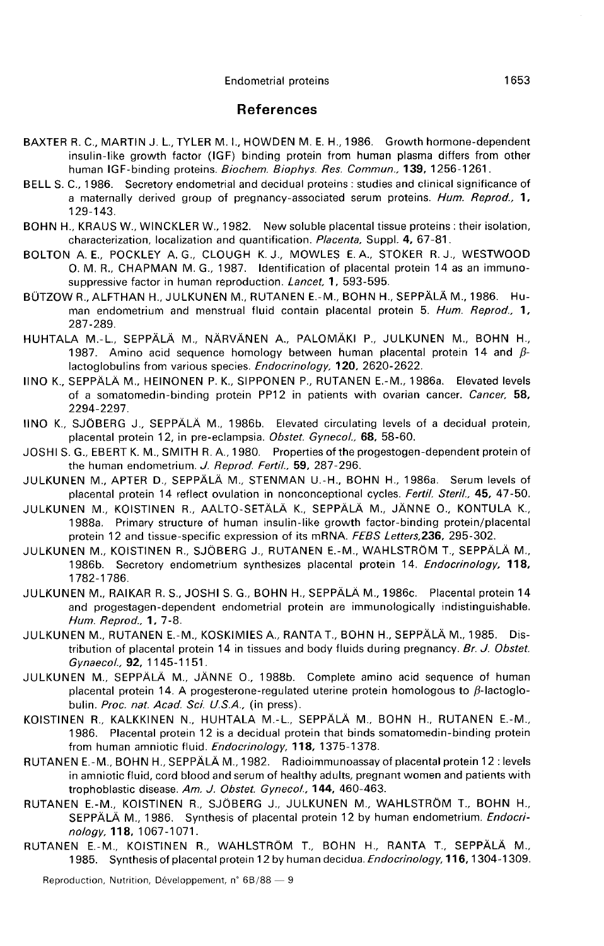#### **Endometrial proteins**

### References

- BAXTER R. C., MARTIN J. L., TYLER M. L, HOWDEN M. E. H., 1986. Growth hormone-dependent insulin-like growth factor (IGF) binding protein from human plasma differs from other human IGF-binding proteins. Biochem. Biophys. Res. Commun., 139, 1256-1261.
- BELL S. C., 1986. Secretory endometrial and decidual proteins : studies and clinical significance of a maternally derived group of pregnancy-associated serum proteins. Hum. Reprod., 1, 129-143.
- BOHN H., KRAUS W., WINCKLER W., 1982. New soluble placental tissue proteins : their isolation, characterization, localization and quantification. Placenta, Suppl. 4, 67-81.
- BOLTON A. E., POCKLEY A. G., CLOUGH K. J., MOWLES E. A., STOKER R. J., WESTWOOD 0. M. R., CHAPMAN M. G., 1987. Identification of placental protein 14 as an immunosuppressive factor in human reproduction. Lancet, 1, 593-595.
- BÜTZOW R., ALFTHAN H., JULKUNEN M., RUTANEN E.-M., BOHN H., SEPPÄLÄ M., 1986. Human endometrium and menstrual fluid contain placental protein 5. Hum. Reprod., 1, 287-289.
- HUHTALA M.-L., SEPPÄLÄ M., NÄRVÄNEN A., PALOMÄKI P., JULKUNEN M., BOHN H., 1987. Amino acid sequence homology between human placental protein 14 and  $\beta$ lactoglobulins from various species. Endocrinology, 120, 2620-2622.
- IINO K., SEPPÄLÄ M., HEINONEN P. K., SIPPONEN P., RUTANEN E.-M., 1986a. Elevated levels of a somatomedin-binding protein PP12 in patients with ovarian cancer. Cancer, 58, 2294-2297.
- IINO K., SJOBERG J., SEPPALA M., 1986b. Elevated circulating levels of a decidual protein, placental protein 12, in pre-eclampsia. Obstet. Gynecol., 68, 58-60.
- JOSHI S. G., EBERT K. M., SMITH R. A., 1980. Properties of the progestogen-dependent protein of the human endometrium. J. Reprod. Fertil., 59, 287-296.
- JULKUNEN M., APTER D., SEPPALA M., STENMAN U.-H., BOHN H., 1986a. Serum levels of placental protein 14 reflect ovulation in nonconceptional cycles. Fertil. Steril., 45, 47-50.
- JULKUNEN M., KOISTINEN R., AALTO-SETÄLÄ K., SEPPÄLÄ M., JÄNNE O., KONTULA K., 1988a. Primary structure of human insulin-like growth factor-binding protein/placental I protein 12 and tissue-specific expression of its mRNA. FEBS Letters, 236, 295-302.
- JULKUNEN M., KOISTINEN R., SJOBERG J., RUTANEN E.-M., WAHLSTROM T., SEPPALA M., 1986b. Secretory endometrium synthesizes placental protein 14. Endocrinology, 118, 1782-1786.
- JULKUNEN M., RAIKAR R. S., JOSHI S. G., BOHN H., SEPPALA M., 1986c. Placental protein 14 and progestagen-dependent endometrial protein are immunologically indistinguishable. Hum. Reprod., 1, 7-8.
- JULKUNEN M., RUTANEN E.-M., KOSKIMIES A., RANTA T., BOHN H., SEPPALA M., 1985. Distribution of placental protein 14 in tissues and body fluids during pregnancy. Br. J. Obstet. Gynaecol., 92, 1145-1151.
- JULKUNEN M., SEPPALA M., JANNE 0., 1988b. Complete amino acid sequence of human placental protein 14. A progesterone-regulated uterine protein homologous to  $\beta$ -lactoglobulin. Proc. nat. Acad. Sci. U.S.A., (in press).
- KOISTINEN R., KALKKINEN N., HUHTALA M.-L., SEPPALA M., BOHN H., RUTANEN E.-M., 1986. Placental protein 12 is a decidual protein that binds somatomedin-binding protein from human amniotic fluid. Endocrinology, 118, 1375-1378.
- RUTANEN E.-M., BOHN H., SEPPALA M., 1982. Radioimmunoassay of placental protein 12 : levels in amniotic fluid, cord blood and serum of healthy adults, pregnant women and patients with trophoblastic disease. Am. J. Obstet. Gynecol., 144, 460-463.
- RUTANEN E.-M., KOISTINEN R., SJOBERG J., JULKUNEN M., WAHLSTROM T., BOHN H., SEPPÄLÄ M., 1986. Synthesis of placental protein 12 by human endometrium. Endocrinology, 118, 1067-1071.
- RUTANEN E.-M., KOISTINEN R., WAHLSTRÖM T., BOHN H., RANTA T., SEPPÄLÄ M., 1985. Synthesis of placental protein 12 by human decidua. Endocrinology,116, 1304-1309.

Reproduction, Nutrition, Développement, n° 6B/88 - 9